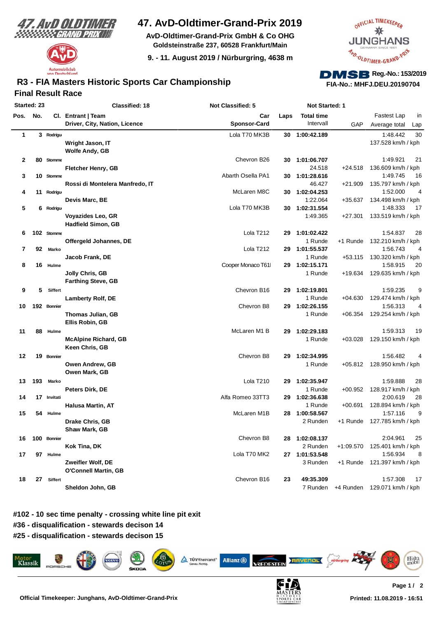



## **47. AvD-Oldtimer-Grand-Prix 2019**

**AvD-Oldtimer-Grand-Prix GmbH & Co OHG Goldsteinstraße 237, 60528 Frankfurt/Main**

**9. - 11. August 2019 / Nürburgring, 4638 m**



# **FIA-No.: MHFJ.DEU.20190704**

## **Final Result Race R3 - FIA Masters Historic Sports Car Championship**

|              | Started: 23 |             | Classified: 18                  | <b>Not Classified: 5</b> |      | Not Started: 1    |             |                            |
|--------------|-------------|-------------|---------------------------------|--------------------------|------|-------------------|-------------|----------------------------|
| Pos.         | No.         |             | Cl. Entrant   Team              | Car                      | Laps | <b>Total time</b> |             | Fastest Lap<br>in          |
|              |             |             | Driver, City, Nation, Licence   | <b>Sponsor-Card</b>      |      | Intervall         | GAP         | Average total<br>Lap       |
| 1            |             | 3 Rodrigu   |                                 | Lola T70 MK3B            |      | 30 1:00:42.189    |             | 30<br>1:48.442             |
|              |             |             | Wright Jason, IT                |                          |      |                   |             | 137.528 km/h / kph         |
|              |             |             | <b>Wolfe Andy, GB</b>           |                          |      |                   |             |                            |
| $\mathbf{2}$ |             | 80 Stomme   |                                 | Chevron B26              | 30   | 1:01:06.707       |             | 1:49.921<br>21             |
|              |             |             | <b>Fletcher Henry, GB</b>       |                          |      | 24.518            | $+24.518$   | 136.609 km/h / kph         |
| 3<br>4       |             | 10 Stomme   |                                 | Abarth Osella PA1        | 30   | 1:01:28.616       |             | 1:49.745<br>16             |
|              |             |             | Rossi di Montelera Manfredo, IT |                          |      | 46.427            | $+21.909$   | 135.797 km/h / kph         |
|              | 11          | Rodrigu     |                                 | McLaren M8C              |      | 30 1:02:04.253    |             | 1:52.000<br>4              |
|              |             |             | Devis Marc, BE                  |                          |      | 1:22.064          | $+35.637$   | 134.498 km/h / kph         |
| 5            |             | 6 Rodrigu   |                                 | Lola T70 MK3B            | 30   | 1:02:31.554       |             | 1:48.333<br>17             |
|              |             |             | Voyazides Leo, GR               |                          |      | 1:49.365          | $+27.301$   | 133.519 km/h / kph         |
|              |             |             | <b>Hadfield Simon, GB</b>       |                          |      |                   |             |                            |
| 6            |             | 102 Stomme  |                                 | Lola T212                | 29   | 1:01:02.422       |             | 1:54.837<br>28             |
|              |             |             | Offergeld Johannes, DE          |                          |      | 1 Runde           | +1 Runde    | 132.210 km/h / kph         |
| 7            | 92          | Marko       |                                 | Lola T212                |      | 29 1:01:55.537    |             | 1:56.743<br>4              |
|              |             |             | Jacob Frank, DE                 |                          |      | 1 Runde           | $+53.115$   | 130.320 km/h / kph         |
| 8            |             | 16 Hulme    |                                 | Cooper Monaco T61        | 29   | 1:02:15.171       |             | 1:58.915<br>20             |
|              |             |             | <b>Jolly Chris, GB</b>          |                          |      | 1 Runde           | +19.634     | 129.635 km/h / kph         |
|              |             |             | <b>Farthing Steve, GB</b>       |                          |      |                   |             |                            |
| 9            | 5           | Siffert     |                                 | Chevron B16              | 29   | 1:02:19.801       |             | 1:59.235<br>9              |
|              |             |             | <b>Lamberty Rolf, DE</b>        |                          |      | 1 Runde           | $+04.630$   | 129.474 km/h / kph         |
| 10           |             | 192 Bonnier |                                 | Chevron B8               |      | 29 1:02:26.155    |             | 1:56.313<br>4              |
|              |             |             | Thomas Julian, GB               |                          |      | 1 Runde           | $+06.354$   | 129.254 km/h / kph         |
|              |             |             | Ellis Robin, GB                 |                          |      |                   |             |                            |
| 11           | 88          | Hulme       |                                 | McLaren M1 B             | 29   | 1:02:29.183       |             | 1:59.313<br>19             |
|              |             |             | <b>McAlpine Richard, GB</b>     |                          |      | 1 Runde           | $+03.028$   | 129.150 km/h / kph         |
|              |             |             | Keen Chris, GB                  |                          |      |                   |             |                            |
| 12           |             | 19 Bonnier  |                                 | Chevron B8               | 29   | 1:02:34.995       |             | 1:56.482<br>4              |
|              |             |             | Owen Andrew, GB                 |                          |      | 1 Runde           |             | +05.812 128.950 km/h / kph |
|              |             |             | Owen Mark, GB                   |                          |      |                   |             |                            |
| 13           | 193         | Marko       |                                 | Lola T210                | 29   | 1:02:35.947       |             | 1:59.888<br>28             |
|              |             |             | Peters Dirk, DE                 |                          |      | 1 Runde           | $+00.952$   | 128.917 km/h / kph         |
| 14           |             | 17 Invitati |                                 | Alfa Romeo 33TT3         | 29   | 1:02:36.638       |             | 2:00.619<br>28             |
|              |             |             | <b>Halusa Martin, AT</b>        |                          |      | 1 Runde           | $+00.691$   | 128.894 km/h / kph         |
| 15           |             | 54 Hulme    |                                 | McLaren M1B              |      | 28 1:00:58.567    |             | 1:57.116<br>9              |
|              |             |             | Drake Chris, GB                 |                          |      | 2 Runden          | +1 Runde    | 127.785 km/h / kph         |
|              |             |             | Shaw Mark, GB                   |                          |      |                   |             |                            |
| 16           |             | 100 Bonnier |                                 | Chevron B8               |      | 28 1:02:08.137    |             | 2:04.961<br>25             |
|              |             |             | Kok Tina, DK                    |                          |      | 2 Runden          | $+1:09.570$ | 125.401 km/h / kph         |
| 17           |             | 97 Hulme    |                                 | Lola T70 MK2             |      | 27 1:01:53.548    |             | 1:56.934<br>8              |
|              |             |             | Zweifler Wolf, DE               |                          |      | 3 Runden          | +1 Runde    | 121.397 km/h / kph         |
|              |             |             | <b>O'Connell Martin, GB</b>     |                          |      |                   |             |                            |
| 18           | 27          | Siffert     |                                 | Chevron B16              | 23   | 49:35.309         |             | 1:57.308<br>17             |
|              |             |             | Sheldon John, GB                |                          |      | 7 Runden          | +4 Runden   | 129.071 km/h / kph         |
|              |             |             |                                 |                          |      |                   |             |                            |

**#102 - 10 sec time penalty - crossing white line pit exit #36 - disqualification - stewards decison 14**

**#25 - disqualification - stewards decison 15**